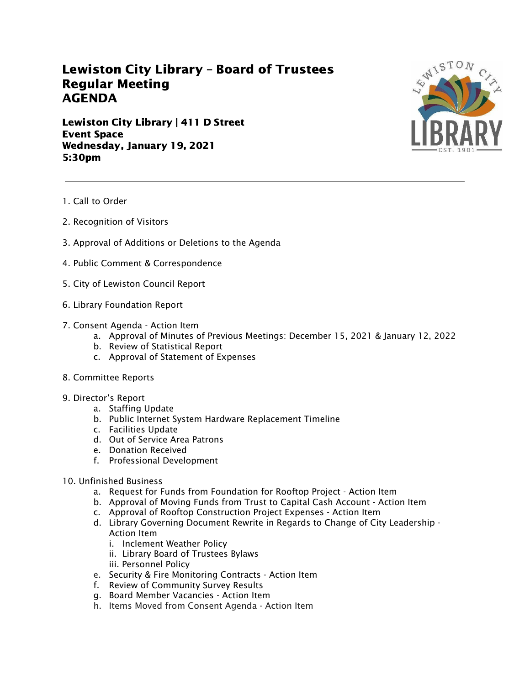## Lewiston City Library – Board of Trustees Regular Meeting AGENDA

Lewiston City Library | 411 D Street Event Space Wednesday, January 19, 2021 5:30pm



- 1. Call to Order
- 2. Recognition of Visitors
- 3. Approval of Additions or Deletions to the Agenda
- 4. Public Comment & Correspondence
- 5. City of Lewiston Council Report
- 6. Library Foundation Report
- 7. Consent Agenda Action Item
	- a. Approval of Minutes of Previous Meetings: December 15, 2021 & January 12, 2022
	- b. Review of Statistical Report
	- c. Approval of Statement of Expenses
- 8. Committee Reports
- 9. Director's Report
	- a. Staffing Update
	- b. Public Internet System Hardware Replacement Timeline
	- c. Facilities Update
	- d. Out of Service Area Patrons
	- e. Donation Received
	- f. Professional Development
- 10. Unfinished Business
	- a. Request for Funds from Foundation for Rooftop Project Action Item
	- b. Approval of Moving Funds from Trust to Capital Cash Account Action Item
	- c. Approval of Rooftop Construction Project Expenses Action Item
	- d. Library Governing Document Rewrite in Regards to Change of City Leadership Action Item
		- i. Inclement Weather Policy
		- ii. Library Board of Trustees Bylaws
		- iii. Personnel Policy
	- e. Security & Fire Monitoring Contracts Action Item
	- f. Review of Community Survey Results
	- g. Board Member Vacancies Action Item
	- h. Items Moved from Consent Agenda Action Item